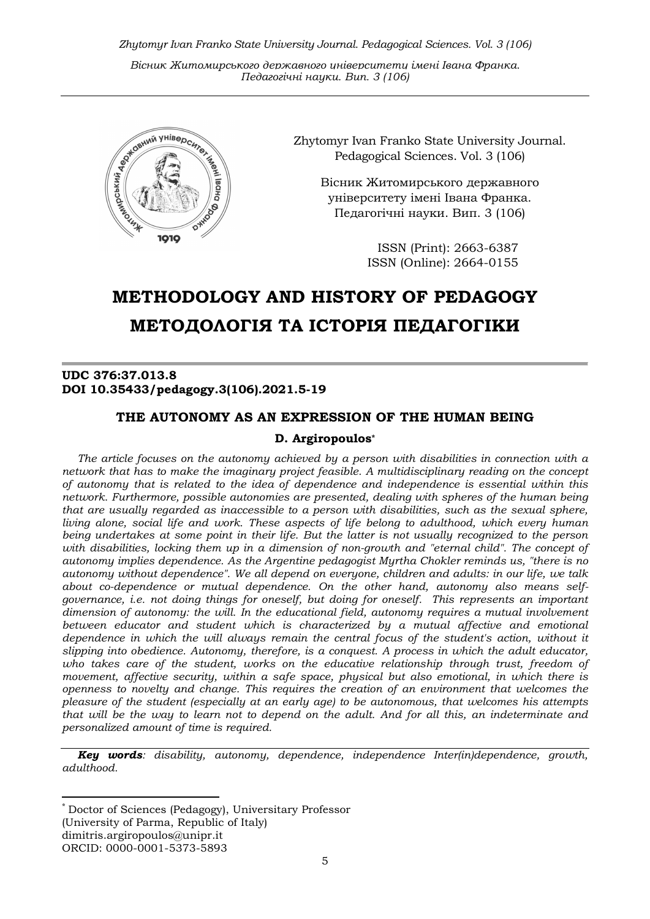Zhytomyr Ivan Franko State University Journal. Рedagogical Sciences. Vol. 3 (106)

Вісник Житомирського державного університету імені Івана Франка. Педагогічні науки. Вип. 3 (106)



Zhytomyr Ivan Franko State University Journal. Рedagogical Sciences. Vol. 3 (106)

Вісник Житомирського державного університету імені Івана Франка. Педагогічні науки. Вип. 3 (106)

> ISSN (Print): 2663-6387 ISSN (Online): 2664-0155

## METHODOLOGY AND HISTORY OF PEDAGOGY МЕТОДОЛОГІЯ ТА ІСТОРІЯ ПЕДАГОГІКИ

## UDC 376:37.013.8 DOI 10.35433/pedagogy.3(106).2021.5-19

# THE AUTONOMY AS AN EXPRESSION OF THE HUMAN BEING

## D. Argiropoulos\*

The article focuses on the autonomy achieved by a person with disabilities in connection with a network that has to make the imaginary project feasible. A multidisciplinary reading on the concept of autonomy that is related to the idea of dependence and independence is essential within this network. Furthermore, possible autonomies are presented, dealing with spheres of the human being that are usually regarded as inaccessible to a person with disabilities, such as the sexual sphere, living alone, social life and work. These aspects of life belong to adulthood, which every human being undertakes at some point in their life. But the latter is not usually recognized to the person with disabilities, locking them up in a dimension of non-growth and "eternal child". The concept of autonomy implies dependence. As the Argentine pedagogist Myrtha Chokler reminds us, "there is no autonomy without dependence". We all depend on everyone, children and adults: in our life, we talk about co-dependence or mutual dependence. On the other hand, autonomy also means selfgovernance, i.e. not doing things for oneself, but doing for oneself. This represents an important dimension of autonomy: the will. In the educational field, autonomy requires a mutual involvement between educator and student which is characterized by a mutual affective and emotional dependence in which the will always remain the central focus of the student's action, without it slipping into obedience. Autonomy, therefore, is a conquest. A process in which the adult educator, who takes care of the student, works on the educative relationship through trust, freedom of movement, affective security, within a safe space, physical but also emotional, in which there is openness to novelty and change. This requires the creation of an environment that welcomes the pleasure of the student (especially at an early age) to be autonomous, that welcomes his attempts that will be the way to learn not to depend on the adult. And for all this, an indeterminate and personalized amount of time is required.

**Key words:** disability, autonomy, dependence, independence Inter(in)dependence, growth, adulthood.

 \* Doctor of Sciences (Pedagogy), Universitary Professor (University of Parma, Republic of Italy) dimitris.argiropoulos@unipr.it ORCID: 0000-0001-5373-5893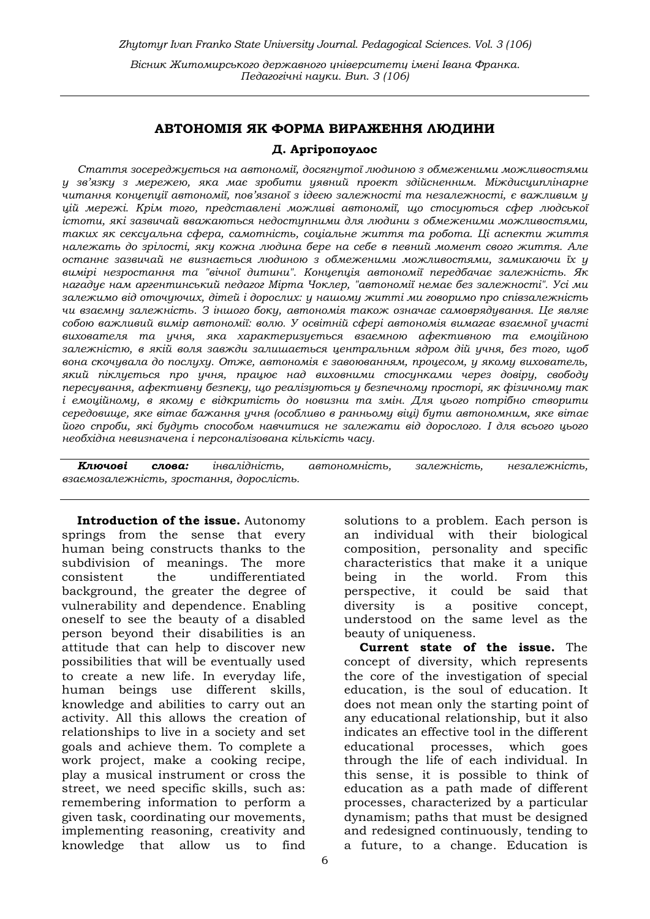## АВТОНОМІЯ ЯК ФОРМА ВИРАЖЕННЯ ЛЮДИНИ

#### Д. Аргіропоулос

Стаття зосереджується на автономії, досягнутої людиною з обмеженими можливостями у зв'язку з мережею, яка має зробити уявний проект здійсненним. Міждисциплінарне читання концепції автономії, пов'язаної з ідеєю залежності та незалежності, є важливим у цій мережі. Крім того, представлені можливі автономії, що стосуються сфер людської істоти, які зазвичай вважаються недоступними для людини з обмеженими можливостями, таких як сексуальна сфера, самотність, соціальне життя та робота. Ці аспекти життя належать до зрілості, яку кожна людина бере на себе в певний момент свого життя. Але останнє зазвичай не визнається людиною з обмеженими можливостями, замикаючи їх у вимірі незростання та "вічної дитини". Концепція автономії передбачає залежність. Як нагадує нам аргентинський педагог Мірта Чоклер, "автономії немає без залежності". Усі ми залежимо від оточуючих, дітей і дорослих: у нашому житті ми говоримо про співзалежність чи взаємну залежність. З іншого боку, автономія також означає самоврядування. Це являє собою важливий вимір автономії: волю. У освітній сфері автономія вимагає взаємної участі вихователя та учня, яка характеризується взаємною афективною та емоційною залежністю, в якій воля завжди залишається центральним ядром дій учня, без того, щоб вона скочувала до послуху. Отже, автономія є завоюванням, процесом, у якому вихователь, який піклується про учня, працює над виховними стосунками через довіру, свободу пересування, афективну безпеку, що реалізуються у безпечному просторі, як фізичному так і емоційному, в якому є відкритість до новизни та змін. Для цього потрібно створити середовище, яке вітає бажання учня (особливо в ранньому віці) бути автономним, яке вітає його спроби, які будуть способом навчитися не залежати від дорослого. І для всього цього необхідна невизначена і персоналізована кількість часу.

Ключові слова: інвалідність, автономність, залежність, незалежність, взаємозалежність, зростання, дорослість.

Introduction of the issue. Autonomy springs from the sense that every human being constructs thanks to the subdivision of meanings. The more consistent the undifferentiated background, the greater the degree of vulnerability and dependence. Enabling oneself to see the beauty of a disabled person beyond their disabilities is an attitude that can help to discover new possibilities that will be eventually used to create a new life. In everyday life, human beings use different skills, knowledge and abilities to carry out an activity. All this allows the creation of relationships to live in a society and set goals and achieve them. To complete a work project, make a cooking recipe, play a musical instrument or cross the street, we need specific skills, such as: remembering information to perform a given task, coordinating our movements, implementing reasoning, creativity and knowledge that allow us to find

solutions to a problem. Each person is an individual with their biological composition, personality and specific characteristics that make it a unique being in the world. From this perspective, it could be said that diversity is a positive concept, understood on the same level as the beauty of uniqueness.

Current state of the issue. The concept of diversity, which represents the core of the investigation of special education, is the soul of education. It does not mean only the starting point of any educational relationship, but it also indicates an effective tool in the different educational processes, which goes through the life of each individual. In this sense, it is possible to think of education as a path made of different processes, characterized by a particular dynamism; paths that must be designed and redesigned continuously, tending to a future, to a change. Education is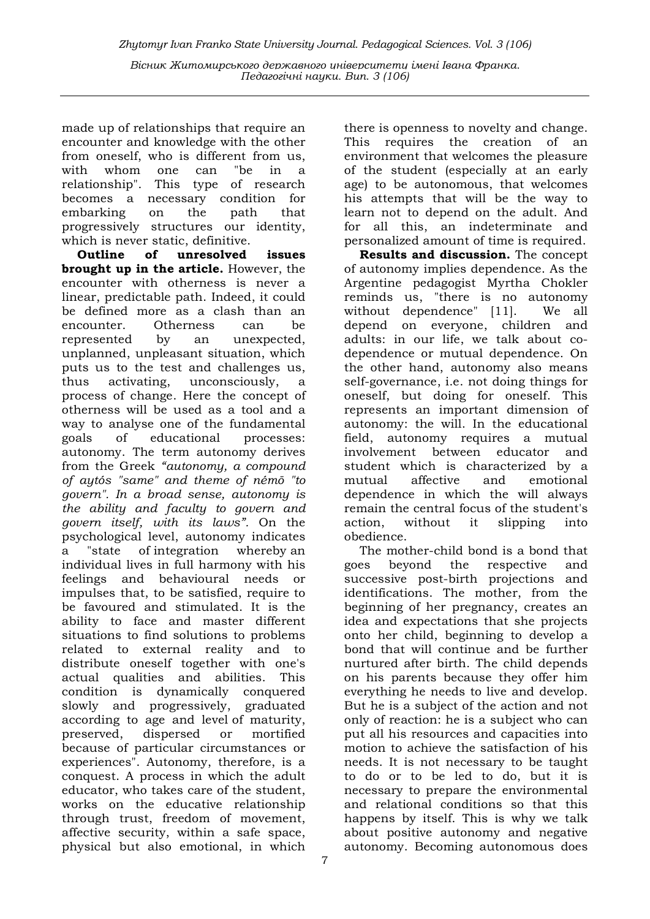Педагогічні науки. Вип. 3 (106)

made up of relationships that require an encounter and knowledge with the other from oneself, who is different from us, with whom one can "be in a relationship". This type of research becomes a necessary condition for embarking on the path that progressively structures our identity, which is never static, definitive.

Outline of unresolved issues brought up in the article. However, the encounter with otherness is never a linear, predictable path. Indeed, it could be defined more as a clash than an encounter. Otherness can be represented by an unexpected, unplanned, unpleasant situation, which puts us to the test and challenges us, thus activating, unconsciously, a process of change. Here the concept of otherness will be used as a tool and a way to analyse one of the fundamental goals of educational processes: autonomy. The term autonomy derives from the Greek "autonomy, a compound of aytós "same" and theme of némō "to govern". In a broad sense, autonomy is the ability and faculty to govern and govern itself, with its laws". On the psychological level, autonomy indicates a "state of integration whereby an individual lives in full harmony with his feelings and behavioural needs or impulses that, to be satisfied, require to be favoured and stimulated. It is the ability to face and master different situations to find solutions to problems related to external reality and to distribute oneself together with one's actual qualities and abilities. This condition is dynamically conquered slowly and progressively, graduated according to age and level of maturity, preserved, dispersed or mortified because of particular circumstances or experiences". Autonomy, therefore, is a conquest. A process in which the adult educator, who takes care of the student, works on the educative relationship through trust, freedom of movement, affective security, within a safe space, physical but also emotional, in which

there is openness to novelty and change. This requires the creation of an environment that welcomes the pleasure of the student (especially at an early age) to be autonomous, that welcomes his attempts that will be the way to learn not to depend on the adult. And for all this, an indeterminate and personalized amount of time is required.

Results and discussion. The concept of autonomy implies dependence. As the Argentine pedagogist Myrtha Chokler reminds us, "there is no autonomy without dependence" [11]. We all depend on everyone, children and adults: in our life, we talk about codependence or mutual dependence. On the other hand, autonomy also means self-governance, i.e. not doing things for oneself, but doing for oneself. This represents an important dimension of autonomy: the will. In the educational field, autonomy requires a mutual involvement between educator and student which is characterized by a mutual affective and emotional dependence in which the will always remain the central focus of the student's action, without it slipping into obedience.

The mother-child bond is a bond that goes beyond the respective and successive post-birth projections and identifications. The mother, from the beginning of her pregnancy, creates an idea and expectations that she projects onto her child, beginning to develop a bond that will continue and be further nurtured after birth. The child depends on his parents because they offer him everything he needs to live and develop. But he is a subject of the action and not only of reaction: he is a subject who can put all his resources and capacities into motion to achieve the satisfaction of his needs. It is not necessary to be taught to do or to be led to do, but it is necessary to prepare the environmental and relational conditions so that this happens by itself. This is why we talk about positive autonomy and negative autonomy. Becoming autonomous does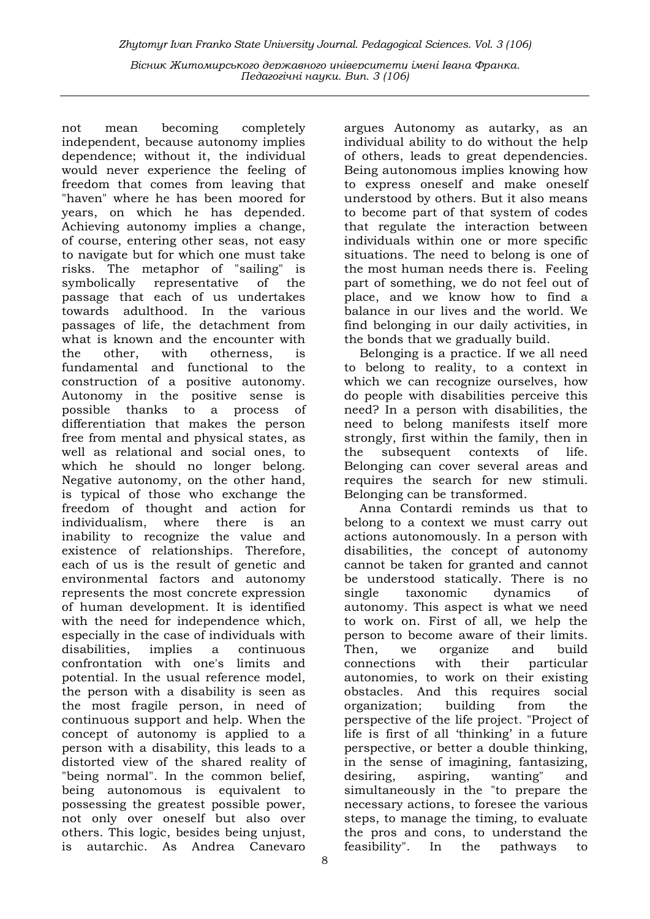not mean becoming completely independent, because autonomy implies dependence; without it, the individual would never experience the feeling of freedom that comes from leaving that "haven" where he has been moored for years, on which he has depended. Achieving autonomy implies a change, of course, entering other seas, not easy to navigate but for which one must take risks. The metaphor of "sailing" is symbolically representative of the passage that each of us undertakes towards adulthood. In the various passages of life, the detachment from what is known and the encounter with the other, with otherness, is fundamental and functional to the construction of a positive autonomy. Autonomy in the positive sense is possible thanks to a process of differentiation that makes the person free from mental and physical states, as well as relational and social ones, to which he should no longer belong. Negative autonomy, on the other hand, is typical of those who exchange the freedom of thought and action for individualism, where there is an inability to recognize the value and existence of relationships. Therefore, each of us is the result of genetic and environmental factors and autonomy represents the most concrete expression of human development. It is identified with the need for independence which, especially in the case of individuals with disabilities, implies a continuous confrontation with one's limits and potential. In the usual reference model, the person with a disability is seen as the most fragile person, in need of continuous support and help. When the concept of autonomy is applied to a person with a disability, this leads to a distorted view of the shared reality of "being normal". In the common belief, being autonomous is equivalent to possessing the greatest possible power, not only over oneself but also over others. This logic, besides being unjust, is autarchic. As Andrea Canevaro

argues Autonomy as autarky, as an individual ability to do without the help of others, leads to great dependencies. Being autonomous implies knowing how to express oneself and make oneself understood by others. But it also means to become part of that system of codes that regulate the interaction between individuals within one or more specific situations. The need to belong is one of the most human needs there is. Feeling part of something, we do not feel out of place, and we know how to find a balance in our lives and the world. We find belonging in our daily activities, in the bonds that we gradually build.

Belonging is a practice. If we all need to belong to reality, to a context in which we can recognize ourselves, how do people with disabilities perceive this need? In a person with disabilities, the need to belong manifests itself more strongly, first within the family, then in the subsequent contexts of life. Belonging can cover several areas and requires the search for new stimuli. Belonging can be transformed.

Anna Contardi reminds us that to belong to a context we must carry out actions autonomously. In a person with disabilities, the concept of autonomy cannot be taken for granted and cannot be understood statically. There is no single taxonomic dynamics of autonomy. This aspect is what we need to work on. First of all, we help the person to become aware of their limits. Then, we organize and build connections with their particular autonomies, to work on their existing obstacles. And this requires social organization; building from the perspective of the life project. "Project of life is first of all 'thinking' in a future perspective, or better a double thinking, in the sense of imagining, fantasizing, desiring, aspiring, wanting" and simultaneously in the "to prepare the necessary actions, to foresee the various steps, to manage the timing, to evaluate the pros and cons, to understand the feasibility". In the pathways to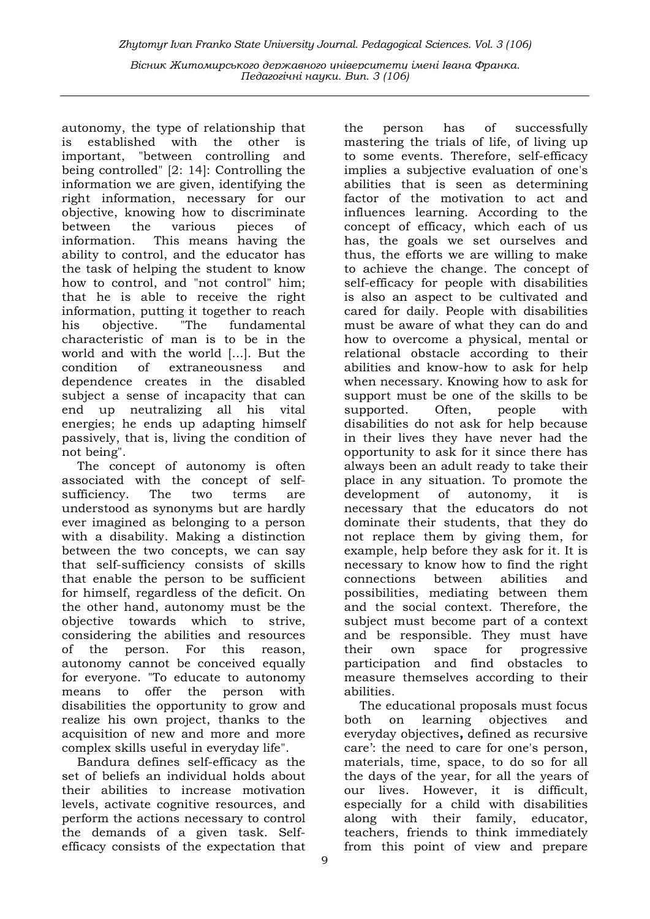autonomy, the type of relationship that is established with the other is important, "between controlling and being controlled" [2: 14]: Controlling the information we are given, identifying the right information, necessary for our objective, knowing how to discriminate between the various pieces of information. This means having the ability to control, and the educator has the task of helping the student to know how to control, and "not control" him; that he is able to receive the right information, putting it together to reach his objective. "The fundamental characteristic of man is to be in the world and with the world [...]. But the condition of extraneousness and dependence creates in the disabled subject a sense of incapacity that can end up neutralizing all his vital energies; he ends up adapting himself passively, that is, living the condition of not being".

The concept of autonomy is often associated with the concept of selfsufficiency. The two terms are understood as synonyms but are hardly ever imagined as belonging to a person with a disability. Making a distinction between the two concepts, we can say that self-sufficiency consists of skills that enable the person to be sufficient for himself, regardless of the deficit. On the other hand, autonomy must be the objective towards which to strive, considering the abilities and resources of the person. For this reason, autonomy cannot be conceived equally for everyone. "To educate to autonomy means to offer the person with disabilities the opportunity to grow and realize his own project, thanks to the acquisition of new and more and more complex skills useful in everyday life".

Bandura defines self-efficacy as the set of beliefs an individual holds about their abilities to increase motivation levels, activate cognitive resources, and perform the actions necessary to control the demands of a given task. Selfefficacy consists of the expectation that

the person has of successfully mastering the trials of life, of living up to some events. Therefore, self-efficacy implies a subjective evaluation of one's abilities that is seen as determining factor of the motivation to act and influences learning. According to the concept of efficacy, which each of us has, the goals we set ourselves and thus, the efforts we are willing to make to achieve the change. The concept of self-efficacy for people with disabilities is also an aspect to be cultivated and cared for daily. People with disabilities must be aware of what they can do and how to overcome a physical, mental or relational obstacle according to their abilities and know-how to ask for help when necessary. Knowing how to ask for support must be one of the skills to be supported. Often, people with disabilities do not ask for help because in their lives they have never had the opportunity to ask for it since there has always been an adult ready to take their place in any situation. To promote the development of autonomy, it is necessary that the educators do not dominate their students, that they do not replace them by giving them, for example, help before they ask for it. It is necessary to know how to find the right connections between abilities and possibilities, mediating between them and the social context. Therefore, the subject must become part of a context and be responsible. They must have their own space for progressive participation and find obstacles to measure themselves according to their abilities.

The educational proposals must focus both on learning objectives and everyday objectives, defined as recursive care': the need to care for one's person, materials, time, space, to do so for all the days of the year, for all the years of our lives. However, it is difficult, especially for a child with disabilities along with their family, educator, teachers, friends to think immediately from this point of view and prepare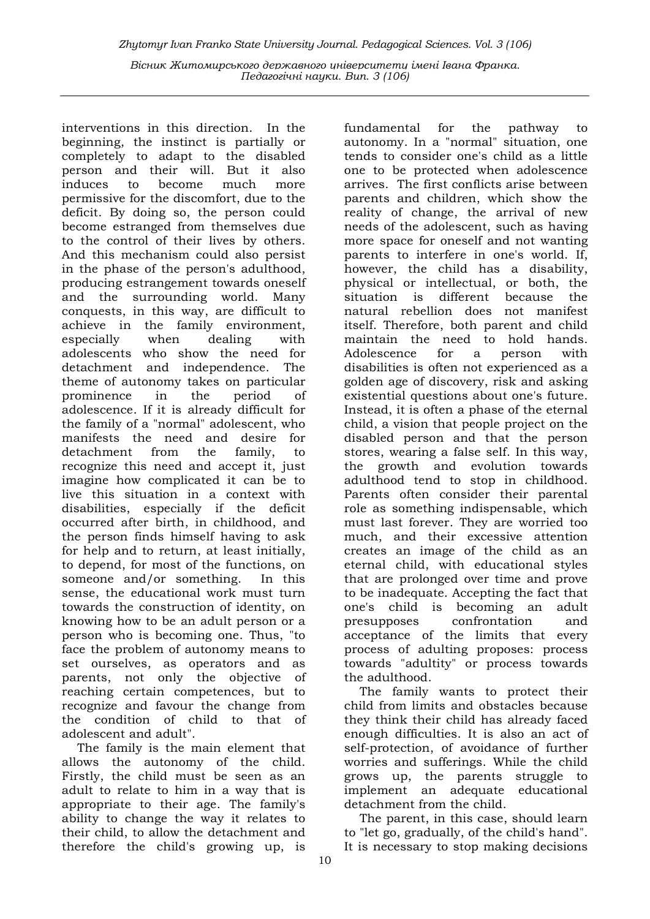interventions in this direction. In the beginning, the instinct is partially or completely to adapt to the disabled person and their will. But it also induces to become much more permissive for the discomfort, due to the deficit. By doing so, the person could become estranged from themselves due to the control of their lives by others. And this mechanism could also persist in the phase of the person's adulthood, producing estrangement towards oneself and the surrounding world. Many conquests, in this way, are difficult to achieve in the family environment, especially when dealing with adolescents who show the need for detachment and independence. The theme of autonomy takes on particular prominence in the period of adolescence. If it is already difficult for the family of a "normal" adolescent, who manifests the need and desire for detachment from the family, to recognize this need and accept it, just imagine how complicated it can be to live this situation in a context with disabilities, especially if the deficit occurred after birth, in childhood, and the person finds himself having to ask for help and to return, at least initially, to depend, for most of the functions, on someone and/or something. In this sense, the educational work must turn towards the construction of identity, on knowing how to be an adult person or a person who is becoming one. Thus, "to face the problem of autonomy means to set ourselves, as operators and as parents, not only the objective of reaching certain competences, but to recognize and favour the change from the condition of child to that of adolescent and adult".

The family is the main element that allows the autonomy of the child. Firstly, the child must be seen as an adult to relate to him in a way that is appropriate to their age. The family's ability to change the way it relates to their child, to allow the detachment and therefore the child's growing up, is

fundamental for the pathway to autonomy. In a "normal" situation, one tends to consider one's child as a little one to be protected when adolescence arrives. The first conflicts arise between parents and children, which show the reality of change, the arrival of new needs of the adolescent, such as having more space for oneself and not wanting parents to interfere in one's world. If, however, the child has a disability, physical or intellectual, or both, the situation is different because the natural rebellion does not manifest itself. Therefore, both parent and child maintain the need to hold hands. Adolescence for a person with disabilities is often not experienced as a golden age of discovery, risk and asking existential questions about one's future. Instead, it is often a phase of the eternal child, a vision that people project on the disabled person and that the person stores, wearing a false self. In this way, the growth and evolution towards adulthood tend to stop in childhood. Parents often consider their parental role as something indispensable, which must last forever. They are worried too much, and their excessive attention creates an image of the child as an eternal child, with educational styles that are prolonged over time and prove to be inadequate. Accepting the fact that one's child is becoming an adult presupposes confrontation and acceptance of the limits that every process of adulting proposes: process towards "adultity" or process towards the adulthood.

The family wants to protect their child from limits and obstacles because they think their child has already faced enough difficulties. It is also an act of self-protection, of avoidance of further worries and sufferings. While the child grows up, the parents struggle to implement an adequate educational detachment from the child.

The parent, in this case, should learn to "let go, gradually, of the child's hand". It is necessary to stop making decisions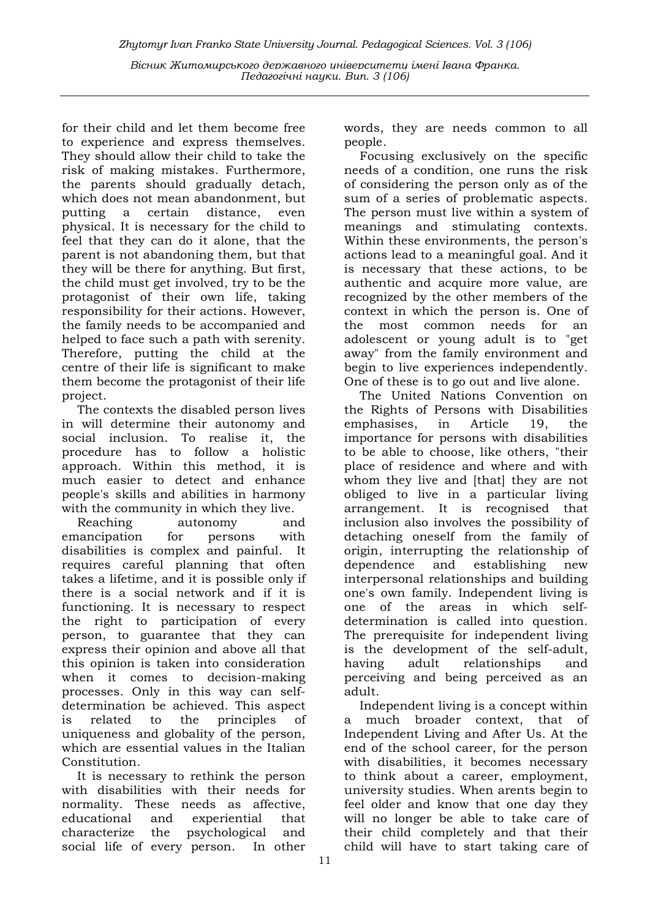for their child and let them become free to experience and express themselves. They should allow their child to take the risk of making mistakes. Furthermore, the parents should gradually detach, which does not mean abandonment, but putting a certain distance, even physical. It is necessary for the child to feel that they can do it alone, that the parent is not abandoning them, but that they will be there for anything. But first, the child must get involved, try to be the protagonist of their own life, taking responsibility for their actions. However, the family needs to be accompanied and helped to face such a path with serenity. Therefore, putting the child at the centre of their life is significant to make them become the protagonist of their life project.

The contexts the disabled person lives in will determine their autonomy and social inclusion. To realise it, the procedure has to follow a holistic approach. Within this method, it is much easier to detect and enhance people's skills and abilities in harmony with the community in which they live.

Reaching autonomy and emancipation for persons with disabilities is complex and painful. It requires careful planning that often takes a lifetime, and it is possible only if there is a social network and if it is functioning. It is necessary to respect the right to participation of every person, to guarantee that they can express their opinion and above all that this opinion is taken into consideration when it comes to decision-making processes. Only in this way can selfdetermination be achieved. This aspect is related to the principles of uniqueness and globality of the person, which are essential values in the Italian Constitution.

It is necessary to rethink the person with disabilities with their needs for normality. These needs as affective, educational and experiential that characterize the psychological and social life of every person. In other

words, they are needs common to all people.

Focusing exclusively on the specific needs of a condition, one runs the risk of considering the person only as of the sum of a series of problematic aspects. The person must live within a system of meanings and stimulating contexts. Within these environments, the person's actions lead to a meaningful goal. And it is necessary that these actions, to be authentic and acquire more value, are recognized by the other members of the context in which the person is. One of the most common needs for an adolescent or young adult is to "get away" from the family environment and begin to live experiences independently. One of these is to go out and live alone.

The United Nations Convention on the Rights of Persons with Disabilities emphasises, in Article 19, the importance for persons with disabilities to be able to choose, like others, "their place of residence and where and with whom they live and [that] they are not obliged to live in a particular living arrangement. It is recognised that inclusion also involves the possibility of detaching oneself from the family of origin, interrupting the relationship of dependence and establishing new interpersonal relationships and building one's own family. Independent living is one of the areas in which selfdetermination is called into question. The prerequisite for independent living is the development of the self-adult, having adult relationships and perceiving and being perceived as an adult.

Independent living is a concept within a much broader context, that of Independent Living and After Us. At the end of the school career, for the person with disabilities, it becomes necessary to think about a career, employment, university studies. When arents begin to feel older and know that one day they will no longer be able to take care of their child completely and that their child will have to start taking care of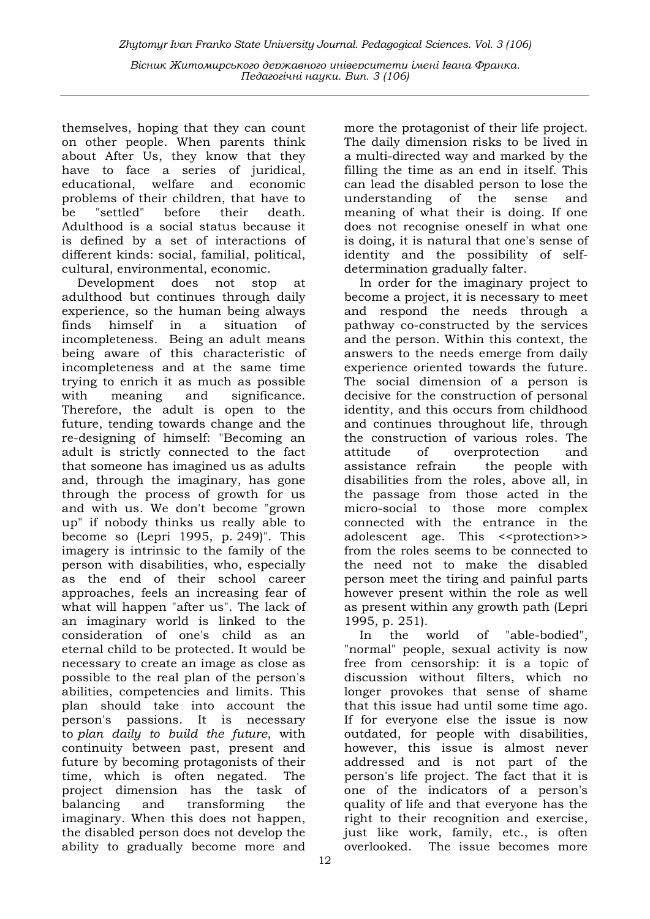themselves, hoping that they can count on other people. When parents think about After Us, they know that they have to face a series of juridical, educational, welfare and economic problems of their children, that have to be "settled" before their death. Adulthood is a social status because it is defined by a set of interactions of different kinds: social, familial, political, cultural, environmental, economic.

Development does not stop at adulthood but continues through daily experience, so the human being always finds himself in a situation of incompleteness. Being an adult means being aware of this characteristic of incompleteness and at the same time trying to enrich it as much as possible with meaning and significance. Therefore, the adult is open to the future, tending towards change and the re-designing of himself: "Becoming an adult is strictly connected to the fact that someone has imagined us as adults and, through the imaginary, has gone through the process of growth for us and with us. We don't become "grown up" if nobody thinks us really able to become so (Lepri 1995, p. 249)". This imagery is intrinsic to the family of the person with disabilities, who, especially as the end of their school career approaches, feels an increasing fear of what will happen "after us". The lack of an imaginary world is linked to the consideration of one's child as an eternal child to be protected. It would be necessary to create an image as close as possible to the real plan of the person's abilities, competencies and limits. This plan should take into account the person's passions. It is necessary to plan daily to build the future, with continuity between past, present and future by becoming protagonists of their time, which is often negated. The project dimension has the task of balancing and transforming the imaginary. When this does not happen, the disabled person does not develop the ability to gradually become more and

more the protagonist of their life project. The daily dimension risks to be lived in a multi-directed way and marked by the filling the time as an end in itself. This can lead the disabled person to lose the understanding of the sense and meaning of what their is doing. If one does not recognise oneself in what one is doing, it is natural that one's sense of identity and the possibility of selfdetermination gradually falter.

In order for the imaginary project to become a project, it is necessary to meet and respond the needs through a pathway co-constructed by the services and the person. Within this context, the answers to the needs emerge from daily experience oriented towards the future. The social dimension of a person is decisive for the construction of personal identity, and this occurs from childhood and continues throughout life, through the construction of various roles. The attitude of overprotection and assistance refrain the people with disabilities from the roles, above all, in the passage from those acted in the micro-social to those more complex connected with the entrance in the adolescent age. This <<protection>> from the roles seems to be connected to the need not to make the disabled person meet the tiring and painful parts however present within the role as well as present within any growth path (Lepri 1995, p. 251).

In the world of "able-bodied", "normal" people, sexual activity is now free from censorship: it is a topic of discussion without filters, which no longer provokes that sense of shame that this issue had until some time ago. If for everyone else the issue is now outdated, for people with disabilities, however, this issue is almost never addressed and is not part of the person's life project. The fact that it is one of the indicators of a person's quality of life and that everyone has the right to their recognition and exercise, just like work, family, etc., is often overlooked. The issue becomes more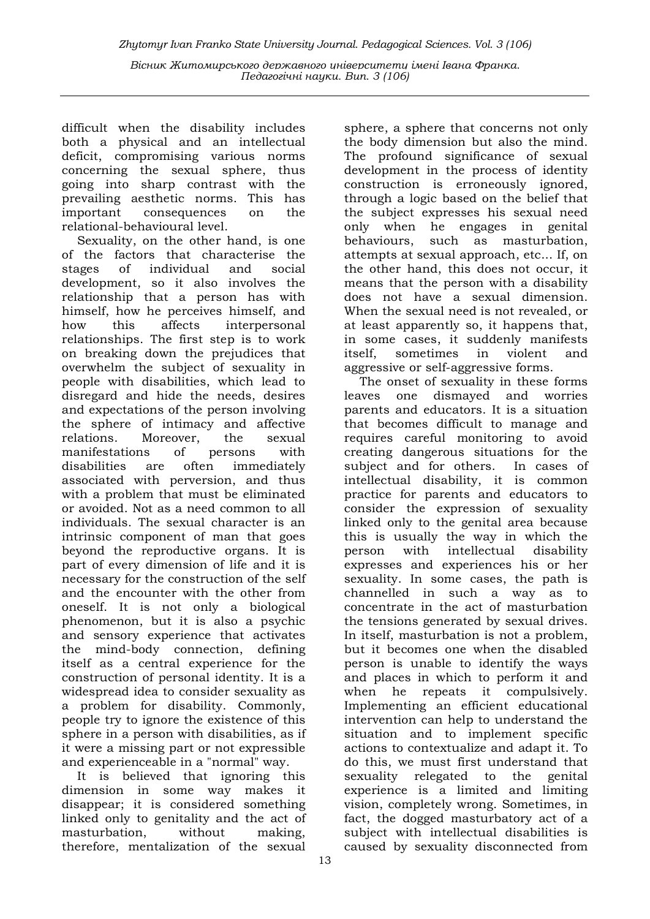difficult when the disability includes both a physical and an intellectual deficit, compromising various norms concerning the sexual sphere, thus going into sharp contrast with the prevailing aesthetic norms. This has important consequences on the relational-behavioural level.

Sexuality, on the other hand, is one of the factors that characterise the stages of individual and social development, so it also involves the relationship that a person has with himself, how he perceives himself, and how this affects interpersonal relationships. The first step is to work on breaking down the prejudices that overwhelm the subject of sexuality in people with disabilities, which lead to disregard and hide the needs, desires and expectations of the person involving the sphere of intimacy and affective relations. Moreover, the sexual manifestations of persons with disabilities are often immediately associated with perversion, and thus with a problem that must be eliminated or avoided. Not as a need common to all individuals. The sexual character is an intrinsic component of man that goes beyond the reproductive organs. It is part of every dimension of life and it is necessary for the construction of the self and the encounter with the other from oneself. It is not only a biological phenomenon, but it is also a psychic and sensory experience that activates the mind-body connection, defining itself as a central experience for the construction of personal identity. It is a widespread idea to consider sexuality as a problem for disability. Commonly, people try to ignore the existence of this sphere in a person with disabilities, as if it were a missing part or not expressible and experienceable in a "normal" way.

It is believed that ignoring this dimension in some way makes it disappear; it is considered something linked only to genitality and the act of masturbation, without making, therefore, mentalization of the sexual

sphere, a sphere that concerns not only the body dimension but also the mind. The profound significance of sexual development in the process of identity construction is erroneously ignored, through a logic based on the belief that the subject expresses his sexual need only when he engages in genital behaviours, such as masturbation, attempts at sexual approach, etc... If, on the other hand, this does not occur, it means that the person with a disability does not have a sexual dimension. When the sexual need is not revealed, or at least apparently so, it happens that, in some cases, it suddenly manifests itself, sometimes in violent and aggressive or self-aggressive forms.

The onset of sexuality in these forms leaves one dismayed and worries parents and educators. It is a situation that becomes difficult to manage and requires careful monitoring to avoid creating dangerous situations for the subject and for others. In cases of intellectual disability, it is common practice for parents and educators to consider the expression of sexuality linked only to the genital area because this is usually the way in which the person with intellectual disability expresses and experiences his or her sexuality. In some cases, the path is channelled in such a way as to concentrate in the act of masturbation the tensions generated by sexual drives. In itself, masturbation is not a problem, but it becomes one when the disabled person is unable to identify the ways and places in which to perform it and when he repeats it compulsively. Implementing an efficient educational intervention can help to understand the situation and to implement specific actions to contextualize and adapt it. To do this, we must first understand that sexuality relegated to the genital experience is a limited and limiting vision, completely wrong. Sometimes, in fact, the dogged masturbatory act of a subject with intellectual disabilities is caused by sexuality disconnected from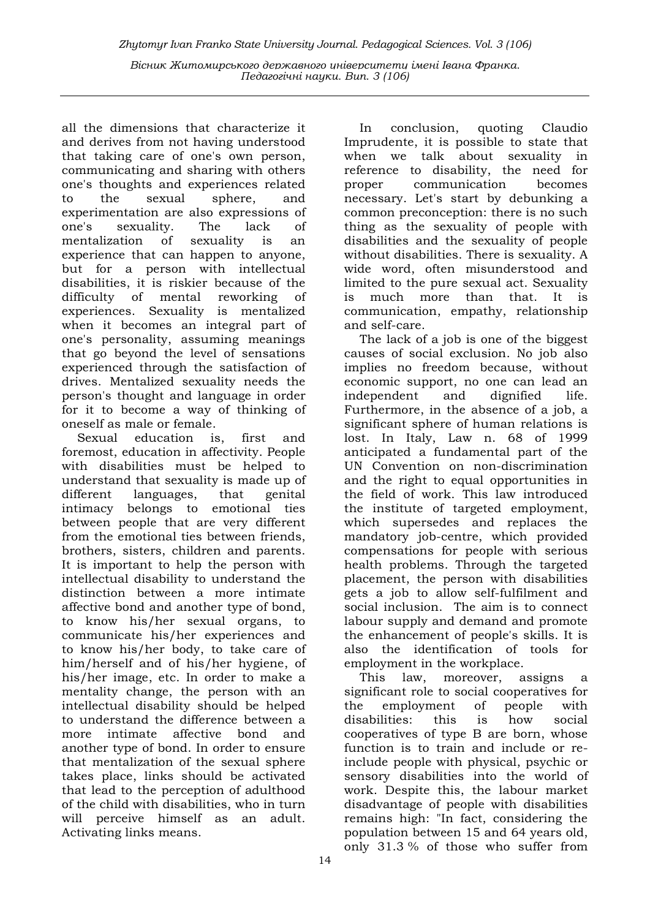all the dimensions that characterize it and derives from not having understood that taking care of one's own person, communicating and sharing with others one's thoughts and experiences related to the sexual sphere, and experimentation are also expressions of one's sexuality. The lack of mentalization of sexuality is an experience that can happen to anyone, but for a person with intellectual disabilities, it is riskier because of the difficulty of mental reworking of experiences. Sexuality is mentalized when it becomes an integral part of one's personality, assuming meanings that go beyond the level of sensations experienced through the satisfaction of drives. Mentalized sexuality needs the person's thought and language in order for it to become a way of thinking of oneself as male or female.

Sexual education is, first and foremost, education in affectivity. People with disabilities must be helped to understand that sexuality is made up of different languages, that genital intimacy belongs to emotional ties between people that are very different from the emotional ties between friends, brothers, sisters, children and parents. It is important to help the person with intellectual disability to understand the distinction between a more intimate affective bond and another type of bond, to know his/her sexual organs, to communicate his/her experiences and to know his/her body, to take care of him/herself and of his/her hygiene, of his/her image, etc. In order to make a mentality change, the person with an intellectual disability should be helped to understand the difference between a more intimate affective bond and another type of bond. In order to ensure that mentalization of the sexual sphere takes place, links should be activated that lead to the perception of adulthood of the child with disabilities, who in turn will perceive himself as an adult. Activating links means.

In conclusion, quoting Claudio Imprudente, it is possible to state that when we talk about sexuality in reference to disability, the need for proper communication becomes necessary. Let's start by debunking a common preconception: there is no such thing as the sexuality of people with disabilities and the sexuality of people without disabilities. There is sexuality. A wide word, often misunderstood and limited to the pure sexual act. Sexuality is much more than that. It is communication, empathy, relationship and self-care.

The lack of a job is one of the biggest causes of social exclusion. No job also implies no freedom because, without economic support, no one can lead an independent and dignified life. Furthermore, in the absence of a job, a significant sphere of human relations is lost. In Italy, Law n. 68 of 1999 anticipated a fundamental part of the UN Convention on non-discrimination and the right to equal opportunities in the field of work. This law introduced the institute of targeted employment, which supersedes and replaces the mandatory job-centre, which provided compensations for people with serious health problems. Through the targeted placement, the person with disabilities gets a job to allow self-fulfilment and social inclusion. The aim is to connect labour supply and demand and promote the enhancement of people's skills. It is also the identification of tools for employment in the workplace.

This law, moreover, assigns a significant role to social cooperatives for the employment of people with disabilities: this is how social cooperatives of type B are born, whose function is to train and include or reinclude people with physical, psychic or sensory disabilities into the world of work. Despite this, the labour market disadvantage of people with disabilities remains high: "In fact, considering the population between 15 and 64 years old, only 31.3 % of those who suffer from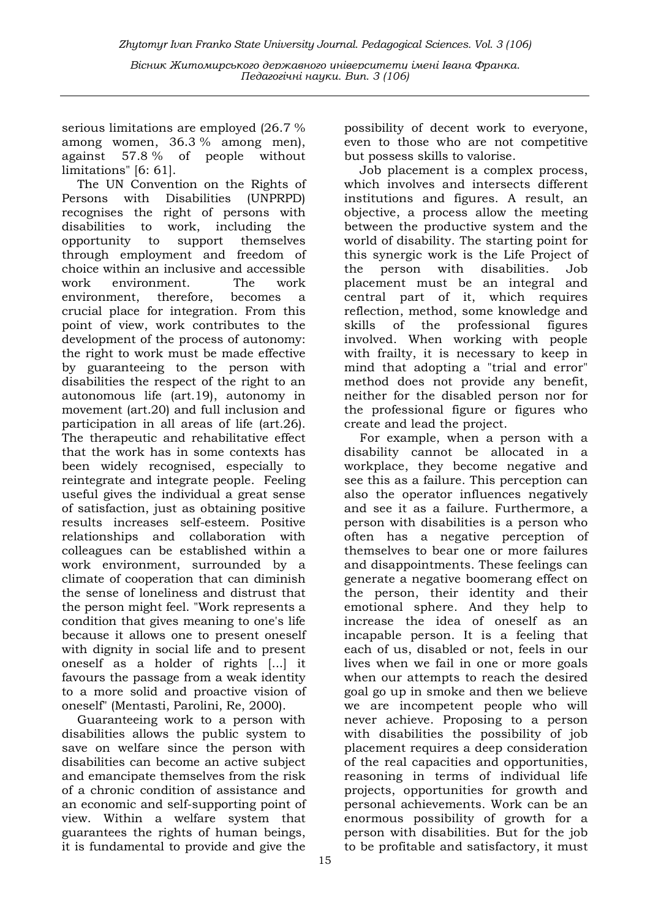serious limitations are employed (26.7 % among women, 36.3 % among men), against 57.8 % of people without limitations" [6: 61].

The UN Convention on the Rights of Persons with Disabilities (UNPRPD) recognises the right of persons with disabilities to work, including the opportunity to support themselves through employment and freedom of choice within an inclusive and accessible work environment. The work environment, therefore, becomes a crucial place for integration. From this point of view, work contributes to the development of the process of autonomy: the right to work must be made effective by guaranteeing to the person with disabilities the respect of the right to an autonomous life (art.19), autonomy in movement (art.20) and full inclusion and participation in all areas of life (art.26). The therapeutic and rehabilitative effect that the work has in some contexts has been widely recognised, especially to reintegrate and integrate people. Feeling useful gives the individual a great sense of satisfaction, just as obtaining positive results increases self-esteem. Positive relationships and collaboration with colleagues can be established within a work environment, surrounded by a climate of cooperation that can diminish the sense of loneliness and distrust that the person might feel. "Work represents a condition that gives meaning to one's life because it allows one to present oneself with dignity in social life and to present oneself as a holder of rights [...] it favours the passage from a weak identity to a more solid and proactive vision of oneself" (Mentasti, Parolini, Re, 2000).

Guaranteeing work to a person with disabilities allows the public system to save on welfare since the person with disabilities can become an active subject and emancipate themselves from the risk of a chronic condition of assistance and an economic and self-supporting point of view. Within a welfare system that guarantees the rights of human beings, it is fundamental to provide and give the

possibility of decent work to everyone, even to those who are not competitive but possess skills to valorise.

Job placement is a complex process, which involves and intersects different institutions and figures. A result, an objective, a process allow the meeting between the productive system and the world of disability. The starting point for this synergic work is the Life Project of the person with disabilities. Job placement must be an integral and central part of it, which requires reflection, method, some knowledge and skills of the professional figures involved. When working with people with frailty, it is necessary to keep in mind that adopting a "trial and error" method does not provide any benefit, neither for the disabled person nor for the professional figure or figures who create and lead the project.

For example, when a person with a disability cannot be allocated in a workplace, they become negative and see this as a failure. This perception can also the operator influences negatively and see it as a failure. Furthermore, a person with disabilities is a person who often has a negative perception of themselves to bear one or more failures and disappointments. These feelings can generate a negative boomerang effect on the person, their identity and their emotional sphere. And they help to increase the idea of oneself as an incapable person. It is a feeling that each of us, disabled or not, feels in our lives when we fail in one or more goals when our attempts to reach the desired goal go up in smoke and then we believe we are incompetent people who will never achieve. Proposing to a person with disabilities the possibility of job placement requires a deep consideration of the real capacities and opportunities, reasoning in terms of individual life projects, opportunities for growth and personal achievements. Work can be an enormous possibility of growth for a person with disabilities. But for the job to be profitable and satisfactory, it must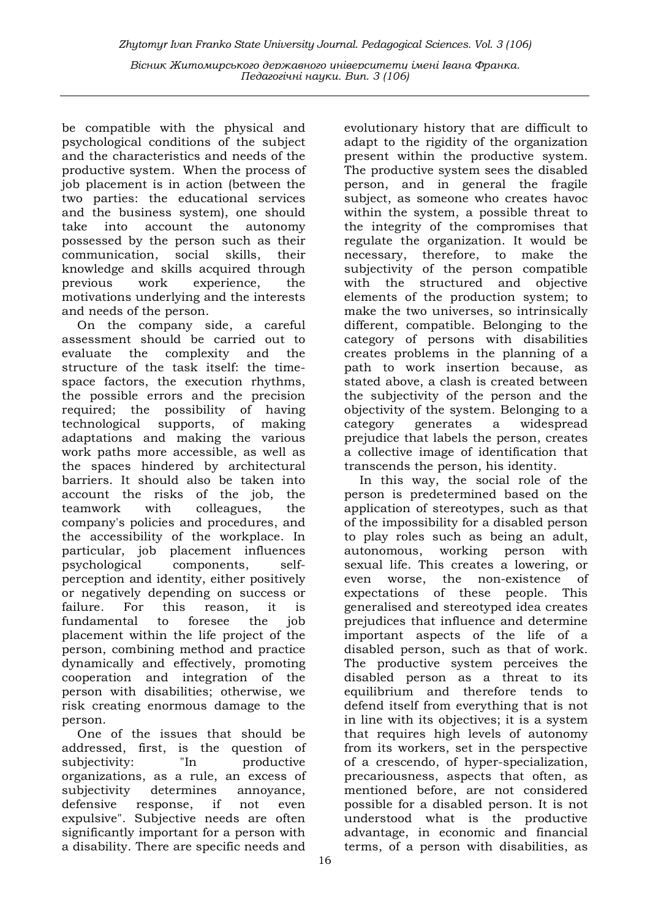be compatible with the physical and psychological conditions of the subject and the characteristics and needs of the productive system. When the process of job placement is in action (between the two parties: the educational services and the business system), one should take into account the autonomy possessed by the person such as their communication, social skills, their knowledge and skills acquired through previous work experience, the motivations underlying and the interests and needs of the person.

On the company side, a careful assessment should be carried out to evaluate the complexity and the structure of the task itself: the timespace factors, the execution rhythms, the possible errors and the precision required; the possibility of having technological supports, of making adaptations and making the various work paths more accessible, as well as the spaces hindered by architectural barriers. It should also be taken into account the risks of the job, the teamwork with colleagues, the company's policies and procedures, and the accessibility of the workplace. In particular, job placement influences psychological components, selfperception and identity, either positively or negatively depending on success or failure. For this reason, it is fundamental to foresee the job placement within the life project of the person, combining method and practice dynamically and effectively, promoting cooperation and integration of the person with disabilities; otherwise, we risk creating enormous damage to the person.

One of the issues that should be addressed, first, is the question of subjectivity: "In productive organizations, as a rule, an excess of subjectivity determines annoyance, defensive response, if not even expulsive". Subjective needs are often significantly important for a person with a disability. There are specific needs and

evolutionary history that are difficult to adapt to the rigidity of the organization present within the productive system. The productive system sees the disabled person, and in general the fragile subject, as someone who creates havoc within the system, a possible threat to the integrity of the compromises that regulate the organization. It would be necessary, therefore, to make the subjectivity of the person compatible with the structured and objective elements of the production system; to make the two universes, so intrinsically different, compatible. Belonging to the category of persons with disabilities creates problems in the planning of a path to work insertion because, as stated above, a clash is created between the subjectivity of the person and the objectivity of the system. Belonging to a category generates a widespread prejudice that labels the person, creates a collective image of identification that transcends the person, his identity.

In this way, the social role of the person is predetermined based on the application of stereotypes, such as that of the impossibility for a disabled person to play roles such as being an adult, autonomous, working person with sexual life. This creates a lowering, or even worse, the non-existence of expectations of these people. This generalised and stereotyped idea creates prejudices that influence and determine important aspects of the life of a disabled person, such as that of work. The productive system perceives the disabled person as a threat to its equilibrium and therefore tends to defend itself from everything that is not in line with its objectives; it is a system that requires high levels of autonomy from its workers, set in the perspective of a crescendo, of hyper-specialization, precariousness, aspects that often, as mentioned before, are not considered possible for a disabled person. It is not understood what is the productive advantage, in economic and financial terms, of a person with disabilities, as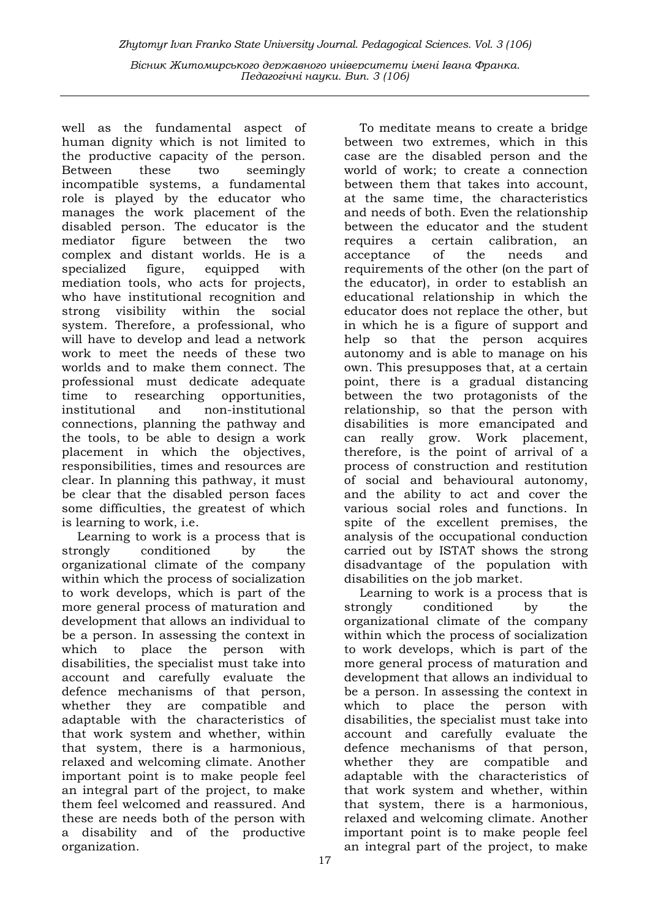well as the fundamental aspect of human dignity which is not limited to the productive capacity of the person. Between these two seemingly incompatible systems, a fundamental role is played by the educator who manages the work placement of the disabled person. The educator is the mediator figure between the two complex and distant worlds. He is a specialized figure, equipped with mediation tools, who acts for projects, who have institutional recognition and strong visibility within the social system. Therefore, a professional, who will have to develop and lead a network work to meet the needs of these two worlds and to make them connect. The professional must dedicate adequate time to researching opportunities, institutional and non-institutional connections, planning the pathway and the tools, to be able to design a work placement in which the objectives, responsibilities, times and resources are clear. In planning this pathway, it must be clear that the disabled person faces some difficulties, the greatest of which is learning to work, i.e.

Learning to work is a process that is strongly conditioned by the organizational climate of the company within which the process of socialization to work develops, which is part of the more general process of maturation and development that allows an individual to be a person. In assessing the context in which to place the person with disabilities, the specialist must take into account and carefully evaluate the defence mechanisms of that person, whether they are compatible and adaptable with the characteristics of that work system and whether, within that system, there is a harmonious, relaxed and welcoming climate. Another important point is to make people feel an integral part of the project, to make them feel welcomed and reassured. And these are needs both of the person with a disability and of the productive organization.

To meditate means to create a bridge between two extremes, which in this case are the disabled person and the world of work; to create a connection between them that takes into account, at the same time, the characteristics and needs of both. Even the relationship between the educator and the student requires a certain calibration, an acceptance of the needs and requirements of the other (on the part of the educator), in order to establish an educational relationship in which the educator does not replace the other, but in which he is a figure of support and help so that the person acquires autonomy and is able to manage on his own. This presupposes that, at a certain point, there is a gradual distancing between the two protagonists of the relationship, so that the person with disabilities is more emancipated and can really grow. Work placement, therefore, is the point of arrival of a process of construction and restitution of social and behavioural autonomy, and the ability to act and cover the various social roles and functions. In spite of the excellent premises, the analysis of the occupational conduction carried out by ISTAT shows the strong disadvantage of the population with disabilities on the job market.

Learning to work is a process that is strongly conditioned by the organizational climate of the company within which the process of socialization to work develops, which is part of the more general process of maturation and development that allows an individual to be a person. In assessing the context in which to place the person with disabilities, the specialist must take into account and carefully evaluate the defence mechanisms of that person, whether they are compatible and adaptable with the characteristics of that work system and whether, within that system, there is a harmonious, relaxed and welcoming climate. Another important point is to make people feel an integral part of the project, to make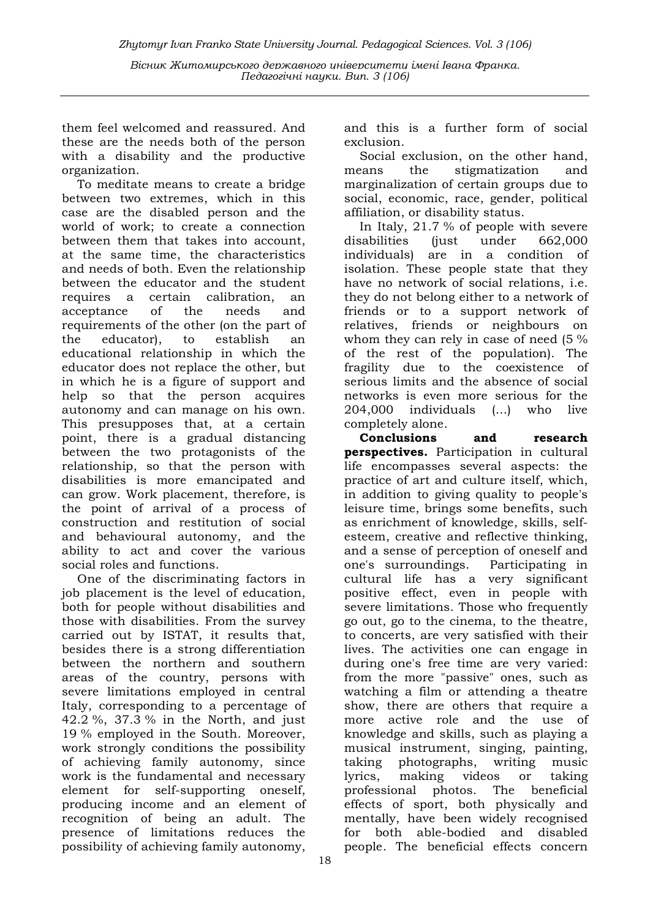them feel welcomed and reassured. And these are the needs both of the person with a disability and the productive organization.

To meditate means to create a bridge between two extremes, which in this case are the disabled person and the world of work; to create a connection between them that takes into account, at the same time, the characteristics and needs of both. Even the relationship between the educator and the student requires a certain calibration, an acceptance of the needs and requirements of the other (on the part of the educator), to establish an educational relationship in which the educator does not replace the other, but in which he is a figure of support and help so that the person acquires autonomy and can manage on his own. This presupposes that, at a certain point, there is a gradual distancing between the two protagonists of the relationship, so that the person with disabilities is more emancipated and can grow. Work placement, therefore, is the point of arrival of a process of construction and restitution of social and behavioural autonomy, and the ability to act and cover the various social roles and functions.

One of the discriminating factors in job placement is the level of education, both for people without disabilities and those with disabilities. From the survey carried out by ISTAT, it results that, besides there is a strong differentiation between the northern and southern areas of the country, persons with severe limitations employed in central Italy, corresponding to a percentage of 42.2 %, 37.3 % in the North, and just 19 % employed in the South. Moreover, work strongly conditions the possibility of achieving family autonomy, since work is the fundamental and necessary element for self-supporting oneself, producing income and an element of recognition of being an adult. The presence of limitations reduces the possibility of achieving family autonomy,

and this is a further form of social exclusion.

Social exclusion, on the other hand, means the stigmatization and marginalization of certain groups due to social, economic, race, gender, political affiliation, or disability status.

In Italy, 21.7 % of people with severe disabilities (just under 662,000 individuals) are in a condition of isolation. These people state that they have no network of social relations, i.e. they do not belong either to a network of friends or to a support network of relatives, friends or neighbours on whom they can rely in case of need (5 % of the rest of the population). The fragility due to the coexistence of serious limits and the absence of social networks is even more serious for the 204,000 individuals (...) who live completely alone.

Conclusions and research **perspectives.** Participation in cultural life encompasses several aspects: the practice of art and culture itself, which, in addition to giving quality to people's leisure time, brings some benefits, such as enrichment of knowledge, skills, selfesteem, creative and reflective thinking, and a sense of perception of oneself and one's surroundings. Participating in cultural life has a very significant positive effect, even in people with severe limitations. Those who frequently go out, go to the cinema, to the theatre, to concerts, are very satisfied with their lives. The activities one can engage in during one's free time are very varied: from the more "passive" ones, such as watching a film or attending a theatre show, there are others that require a more active role and the use of knowledge and skills, such as playing a musical instrument, singing, painting, taking photographs, writing music lyrics, making videos or taking professional photos. The beneficial effects of sport, both physically and mentally, have been widely recognised for both able-bodied and disabled people. The beneficial effects concern